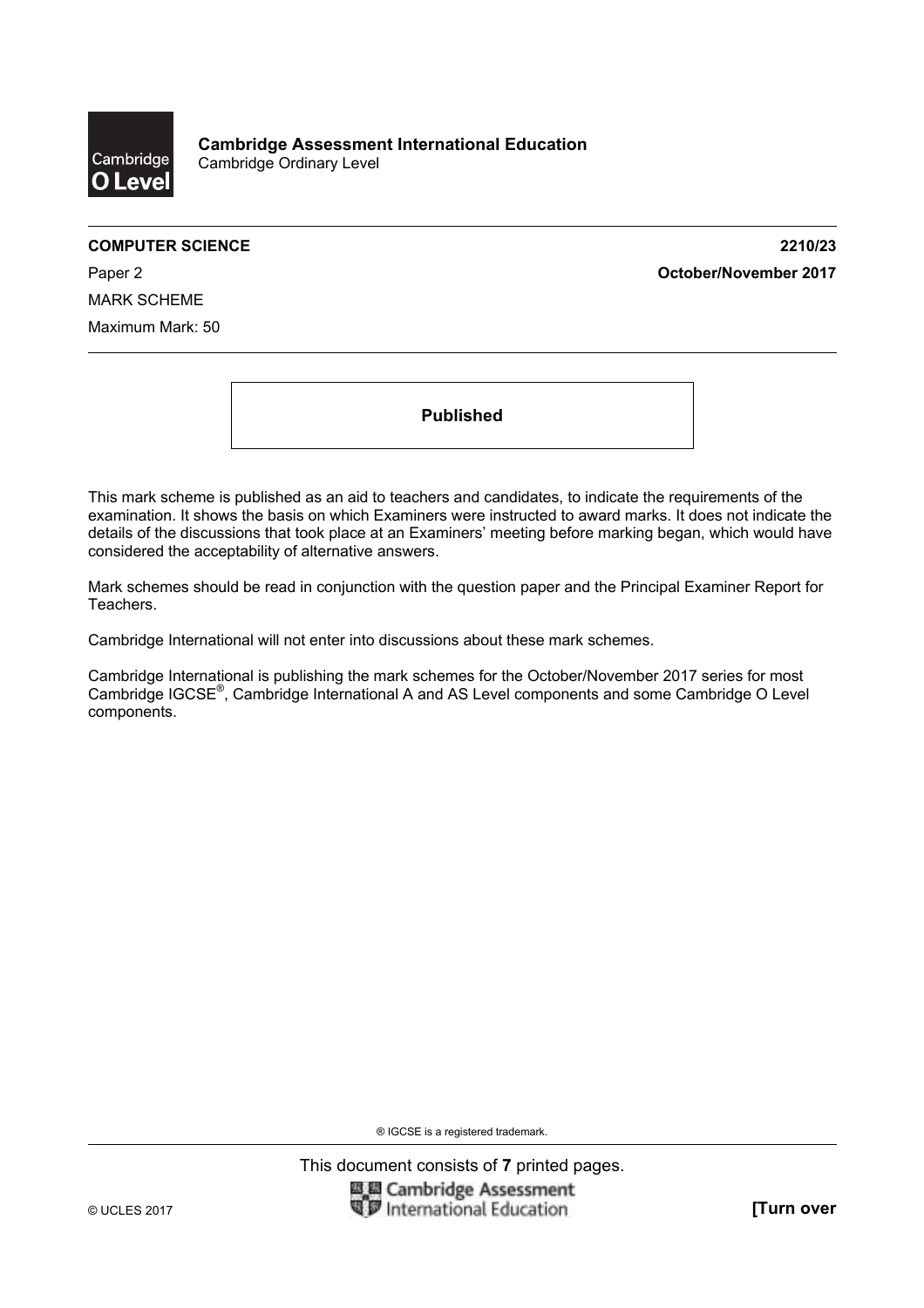

**COMPUTER SCIENCE 2210/23**  Paper 2 **October/November 2017**

MARK SCHEME Maximum Mark: 50

**Published** 

This mark scheme is published as an aid to teachers and candidates, to indicate the requirements of the examination. It shows the basis on which Examiners were instructed to award marks. It does not indicate the details of the discussions that took place at an Examiners' meeting before marking began, which would have considered the acceptability of alternative answers.

Mark schemes should be read in conjunction with the question paper and the Principal Examiner Report for Teachers.

Cambridge International will not enter into discussions about these mark schemes.

Cambridge International is publishing the mark schemes for the October/November 2017 series for most Cambridge IGCSE®, Cambridge International A and AS Level components and some Cambridge O Level components.

® IGCSE is a registered trademark.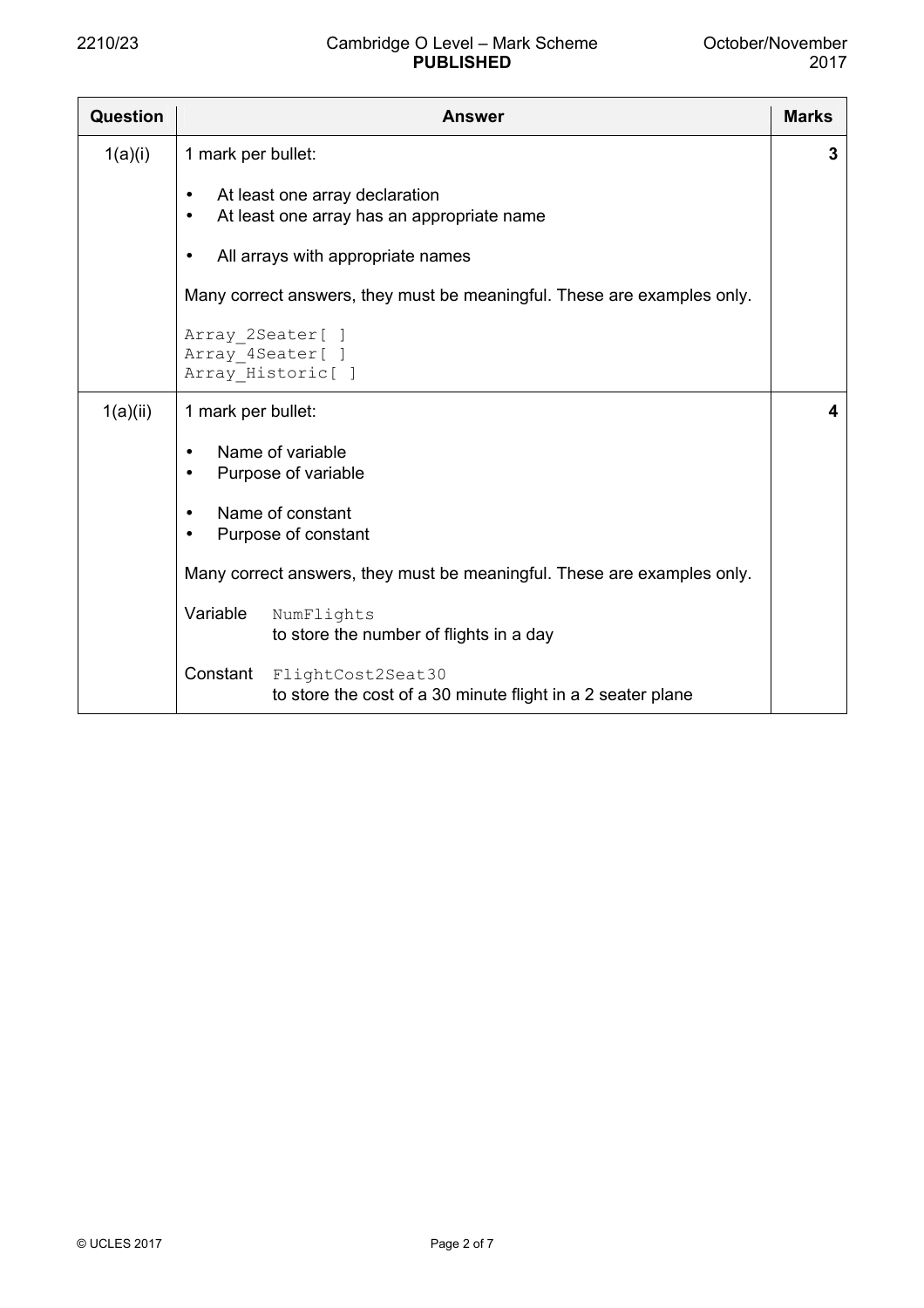## 2210/23 Cambridge O Level – Mark Scheme **PUBLISHED**

| Question | <b>Answer</b>                                                                                          |   |  |  |  |
|----------|--------------------------------------------------------------------------------------------------------|---|--|--|--|
| 1(a)(i)  | 1 mark per bullet:                                                                                     | 3 |  |  |  |
|          | At least one array declaration<br>$\bullet$<br>At least one array has an appropriate name<br>$\bullet$ |   |  |  |  |
|          | All arrays with appropriate names<br>$\bullet$                                                         |   |  |  |  |
|          | Many correct answers, they must be meaningful. These are examples only.                                |   |  |  |  |
|          | Array 2Seater[ ]<br>Array 4Seater[ ]<br>Array Historic[ ]                                              |   |  |  |  |
| 1(a)(ii) | 1 mark per bullet:                                                                                     | 4 |  |  |  |
|          | Name of variable<br>$\bullet$<br>Purpose of variable<br>$\bullet$                                      |   |  |  |  |
|          | Name of constant<br>$\bullet$<br>Purpose of constant<br>$\bullet$                                      |   |  |  |  |
|          | Many correct answers, they must be meaningful. These are examples only.                                |   |  |  |  |
|          | Variable<br>NumFlights<br>to store the number of flights in a day                                      |   |  |  |  |
|          | Constant<br>FlightCost2Seat30<br>to store the cost of a 30 minute flight in a 2 seater plane           |   |  |  |  |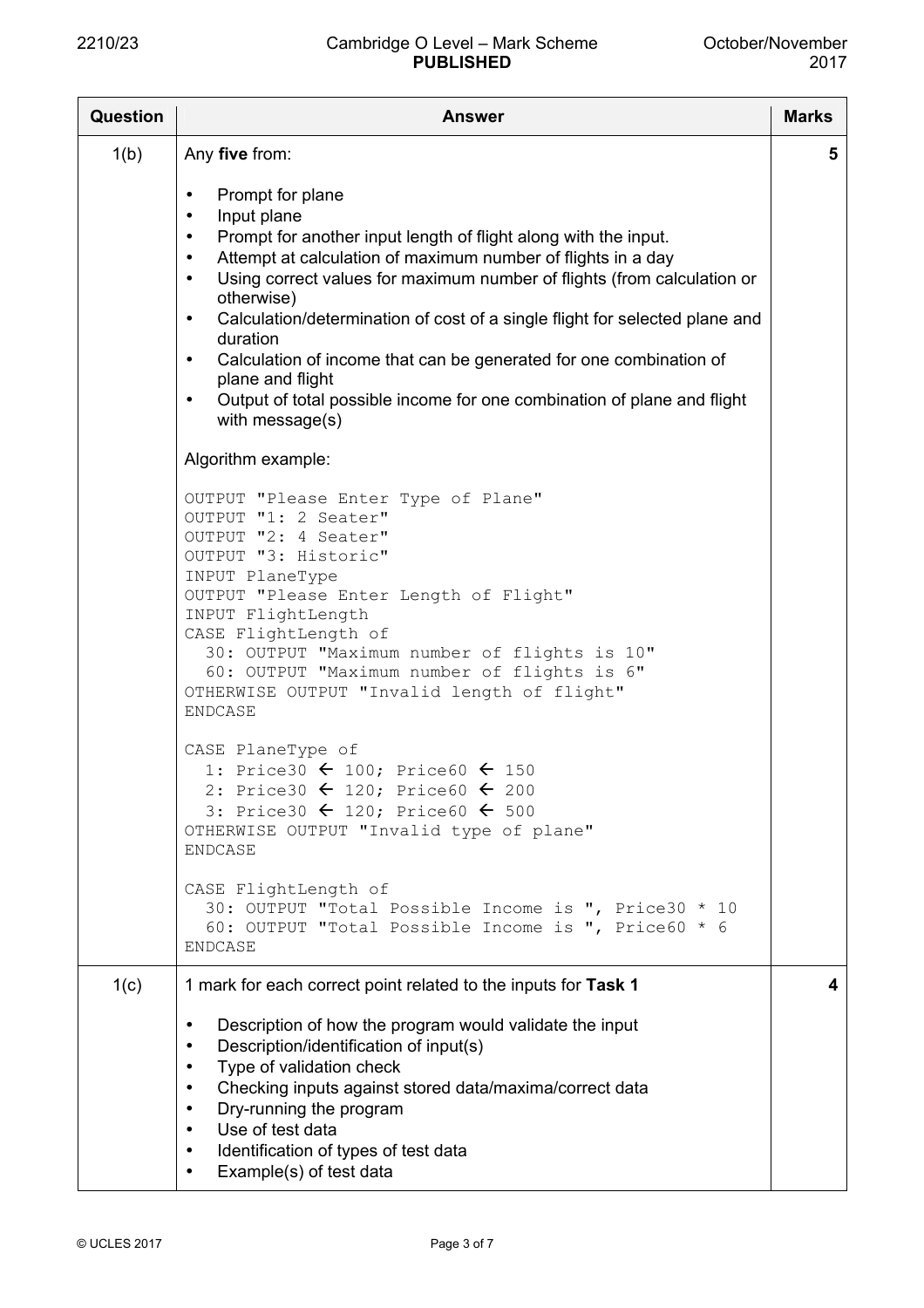## 2210/23 Cambridge O Level – Mark Scheme **PUBLISHED**

| <b>Question</b> | <b>Answer</b>                                                                                                                                                                                                                                                                                                                                                                                                                                                                                                                                                                                                                                          |   |  |  |  |  |  |
|-----------------|--------------------------------------------------------------------------------------------------------------------------------------------------------------------------------------------------------------------------------------------------------------------------------------------------------------------------------------------------------------------------------------------------------------------------------------------------------------------------------------------------------------------------------------------------------------------------------------------------------------------------------------------------------|---|--|--|--|--|--|
| 1(b)            | Any five from:                                                                                                                                                                                                                                                                                                                                                                                                                                                                                                                                                                                                                                         | 5 |  |  |  |  |  |
|                 | Prompt for plane<br>$\bullet$<br>Input plane<br>$\bullet$<br>Prompt for another input length of flight along with the input.<br>$\bullet$<br>Attempt at calculation of maximum number of flights in a day<br>$\bullet$<br>Using correct values for maximum number of flights (from calculation or<br>$\bullet$<br>otherwise)<br>Calculation/determination of cost of a single flight for selected plane and<br>$\bullet$<br>duration<br>Calculation of income that can be generated for one combination of<br>$\bullet$<br>plane and flight<br>Output of total possible income for one combination of plane and flight<br>$\bullet$<br>with message(s) |   |  |  |  |  |  |
|                 | Algorithm example:                                                                                                                                                                                                                                                                                                                                                                                                                                                                                                                                                                                                                                     |   |  |  |  |  |  |
|                 | OUTPUT "Please Enter Type of Plane"<br>OUTPUT "1: 2 Seater"<br>OUTPUT "2: 4 Seater"<br>OUTPUT "3: Historic"<br>INPUT PlaneType<br>OUTPUT "Please Enter Length of Flight"<br>INPUT FlightLength<br>CASE FlightLength of<br>30: OUTPUT "Maximum number of flights is 10"<br>60: OUTPUT "Maximum number of flights is 6"<br>OTHERWISE OUTPUT "Invalid length of flight"<br><b>ENDCASE</b>                                                                                                                                                                                                                                                                 |   |  |  |  |  |  |
|                 | CASE PlaneType of<br>1: Price30 $\leftarrow$ 100; Price60 $\leftarrow$ 150<br>2: Price30 $\leftarrow$ 120; Price60 $\leftarrow$ 200<br>3: Price30 $\leftarrow$ 120; Price60 $\leftarrow$ 500<br>OTHERWISE OUTPUT "Invalid type of plane"<br><b>ENDCASE</b>                                                                                                                                                                                                                                                                                                                                                                                             |   |  |  |  |  |  |
|                 | CASE FlightLength of<br>30: OUTPUT "Total Possible Income is ", Price30 * 10<br>60: OUTPUT "Total Possible Income is ", Price60 * 6<br><b>ENDCASE</b>                                                                                                                                                                                                                                                                                                                                                                                                                                                                                                  |   |  |  |  |  |  |
| 1(c)            | 1 mark for each correct point related to the inputs for Task 1                                                                                                                                                                                                                                                                                                                                                                                                                                                                                                                                                                                         | 4 |  |  |  |  |  |
|                 | Description of how the program would validate the input<br>$\bullet$<br>Description/identification of input(s)<br>$\bullet$<br>Type of validation check<br>$\bullet$<br>Checking inputs against stored data/maxima/correct data<br>$\bullet$<br>Dry-running the program<br>$\bullet$<br>Use of test data<br>$\bullet$<br>Identification of types of test data<br>$\bullet$<br>Example(s) of test data<br>$\bullet$                                                                                                                                                                                                                                     |   |  |  |  |  |  |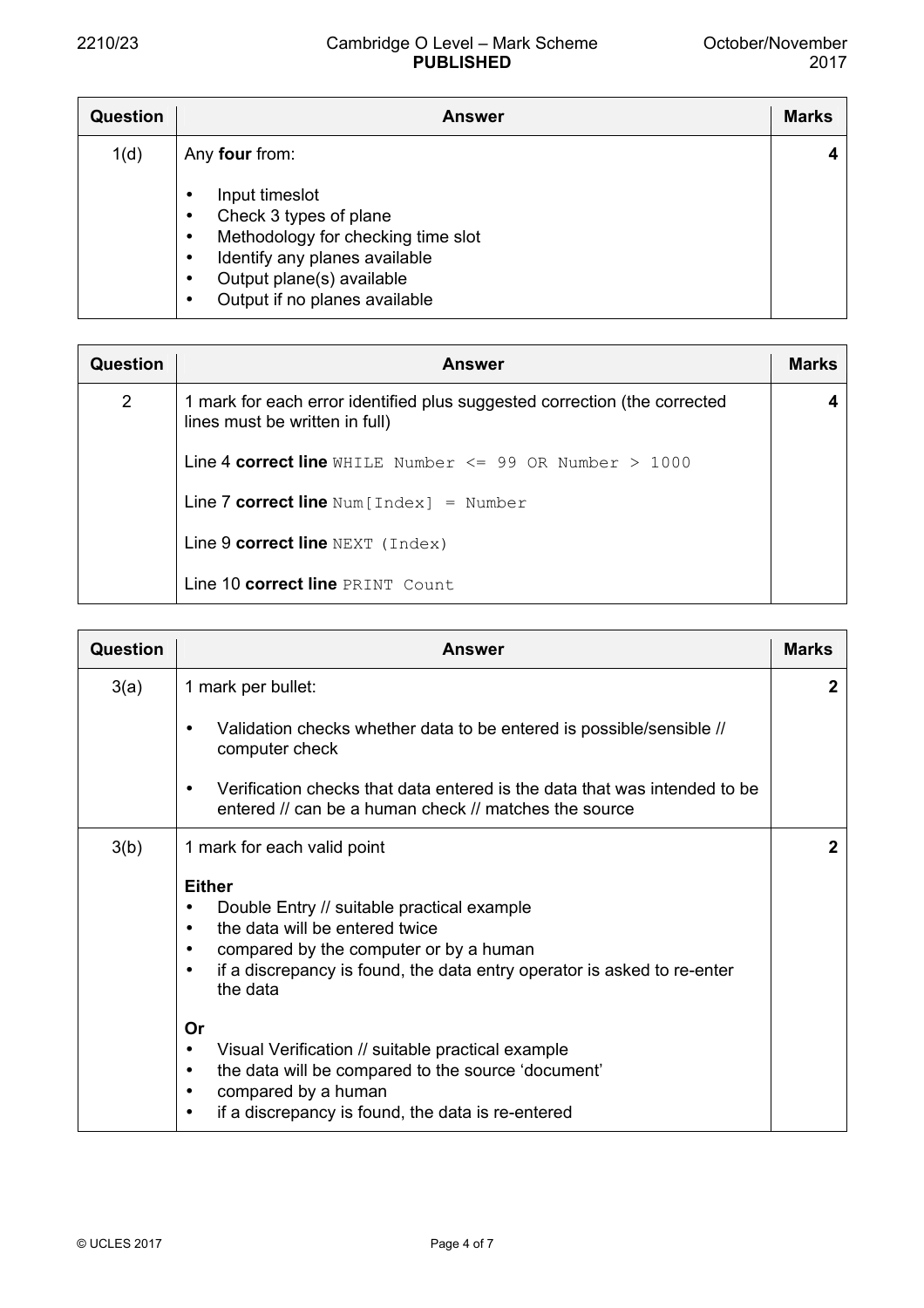| Question | Answer                                                                                                                                                                                          | <b>Marks</b> |
|----------|-------------------------------------------------------------------------------------------------------------------------------------------------------------------------------------------------|--------------|
| 1(d)     | Any four from:<br>Input timeslot<br>Check 3 types of plane<br>Methodology for checking time slot<br>Identify any planes available<br>Output plane(s) available<br>Output if no planes available | 4            |

| Question | <b>Answer</b>                                                                                               | <b>Marks</b> |
|----------|-------------------------------------------------------------------------------------------------------------|--------------|
| 2        | 1 mark for each error identified plus suggested correction (the corrected<br>lines must be written in full) |              |
|          | <b>Line 4 correct line</b> WHILE Number $\leq$ 99 OR Number > 1000                                          |              |
|          | Line 7 correct line $Num[Index] = Number$                                                                   |              |
|          | Line $9$ correct line $NEXT$ (Index)                                                                        |              |
|          | Line 10 correct line PRINT Count                                                                            |              |

| <b>Question</b> | <b>Answer</b>                                                                                                                                                                                                                                                              | <b>Marks</b> |
|-----------------|----------------------------------------------------------------------------------------------------------------------------------------------------------------------------------------------------------------------------------------------------------------------------|--------------|
| 3(a)            | 1 mark per bullet:                                                                                                                                                                                                                                                         | $\mathbf{2}$ |
|                 | Validation checks whether data to be entered is possible/sensible //<br>٠<br>computer check                                                                                                                                                                                |              |
|                 | Verification checks that data entered is the data that was intended to be<br>$\bullet$<br>entered // can be a human check // matches the source                                                                                                                            |              |
| 3(b)            | 1 mark for each valid point                                                                                                                                                                                                                                                | $\mathbf{2}$ |
|                 | <b>Either</b><br>Double Entry // suitable practical example<br>٠<br>the data will be entered twice<br>$\bullet$<br>compared by the computer or by a human<br>$\bullet$<br>if a discrepancy is found, the data entry operator is asked to re-enter<br>$\bullet$<br>the data |              |
|                 | <b>Or</b><br>Visual Verification // suitable practical example<br>٠<br>the data will be compared to the source 'document'<br>$\bullet$<br>compared by a human<br>٠<br>if a discrepancy is found, the data is re-entered<br>$\bullet$                                       |              |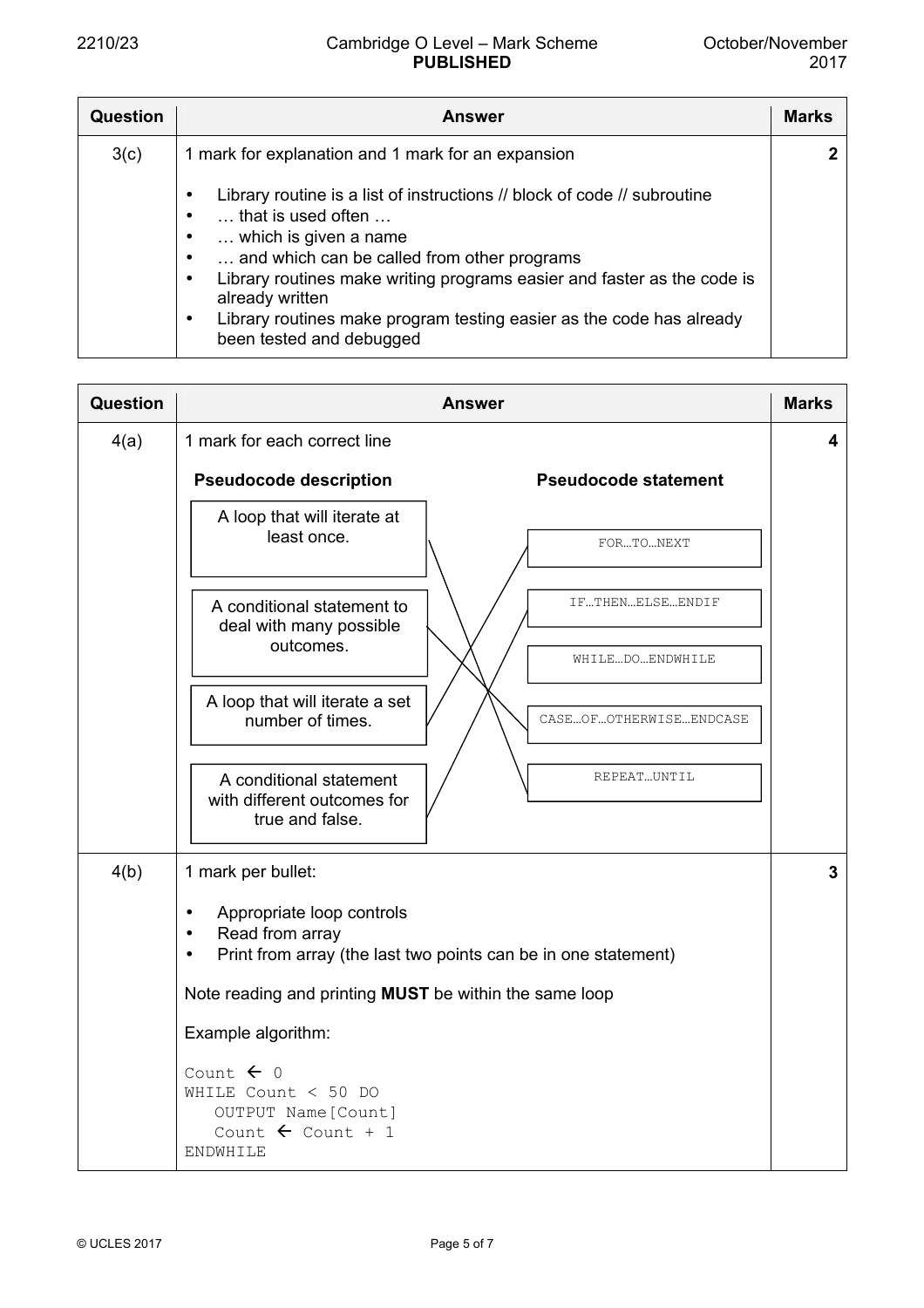| <b>Question</b> | <b>Answer</b>                                                                                         | <b>Marks</b> |
|-----------------|-------------------------------------------------------------------------------------------------------|--------------|
| 3(c)            | 1 mark for explanation and 1 mark for an expansion                                                    | $\mathbf{2}$ |
|                 | Library routine is a list of instructions // block of code // subroutine<br>that is used often        |              |
|                 | which is given a name<br>and which can be called from other programs                                  |              |
|                 | Library routines make writing programs easier and faster as the code is<br>٠<br>already written       |              |
|                 | Library routines make program testing easier as the code has already<br>٠<br>been tested and debugged |              |

| <b>Question</b> | <b>Answer</b>                                                                                                                                                               |   |  |  |  |
|-----------------|-----------------------------------------------------------------------------------------------------------------------------------------------------------------------------|---|--|--|--|
| 4(a)            | 1 mark for each correct line                                                                                                                                                | 4 |  |  |  |
|                 | <b>Pseudocode description</b><br><b>Pseudocode statement</b>                                                                                                                |   |  |  |  |
|                 | A loop that will iterate at<br>least once.<br>FORTONEXT                                                                                                                     |   |  |  |  |
|                 | IFTHENELSEENDIF<br>A conditional statement to<br>deal with many possible<br>outcomes.                                                                                       |   |  |  |  |
|                 | WHILEDOENDWHILE                                                                                                                                                             |   |  |  |  |
|                 | A loop that will iterate a set<br>number of times.<br>CASEOFOTHERWISEENDCASE                                                                                                |   |  |  |  |
|                 | REPEAT  UNTIL<br>A conditional statement<br>with different outcomes for<br>true and false.                                                                                  |   |  |  |  |
| 4(b)            | 1 mark per bullet:<br>Appropriate loop controls<br>$\bullet$<br>Read from array<br>$\bullet$<br>Print from array (the last two points can be in one statement)<br>$\bullet$ | 3 |  |  |  |
|                 | Note reading and printing <b>MUST</b> be within the same loop                                                                                                               |   |  |  |  |
|                 | Example algorithm:                                                                                                                                                          |   |  |  |  |
|                 | Count $\leftarrow$ 0<br>WHILE Count $<$ 50 DO<br>OUTPUT Name [Count]<br>Count $\leftarrow$ Count + 1<br>ENDWHILE                                                            |   |  |  |  |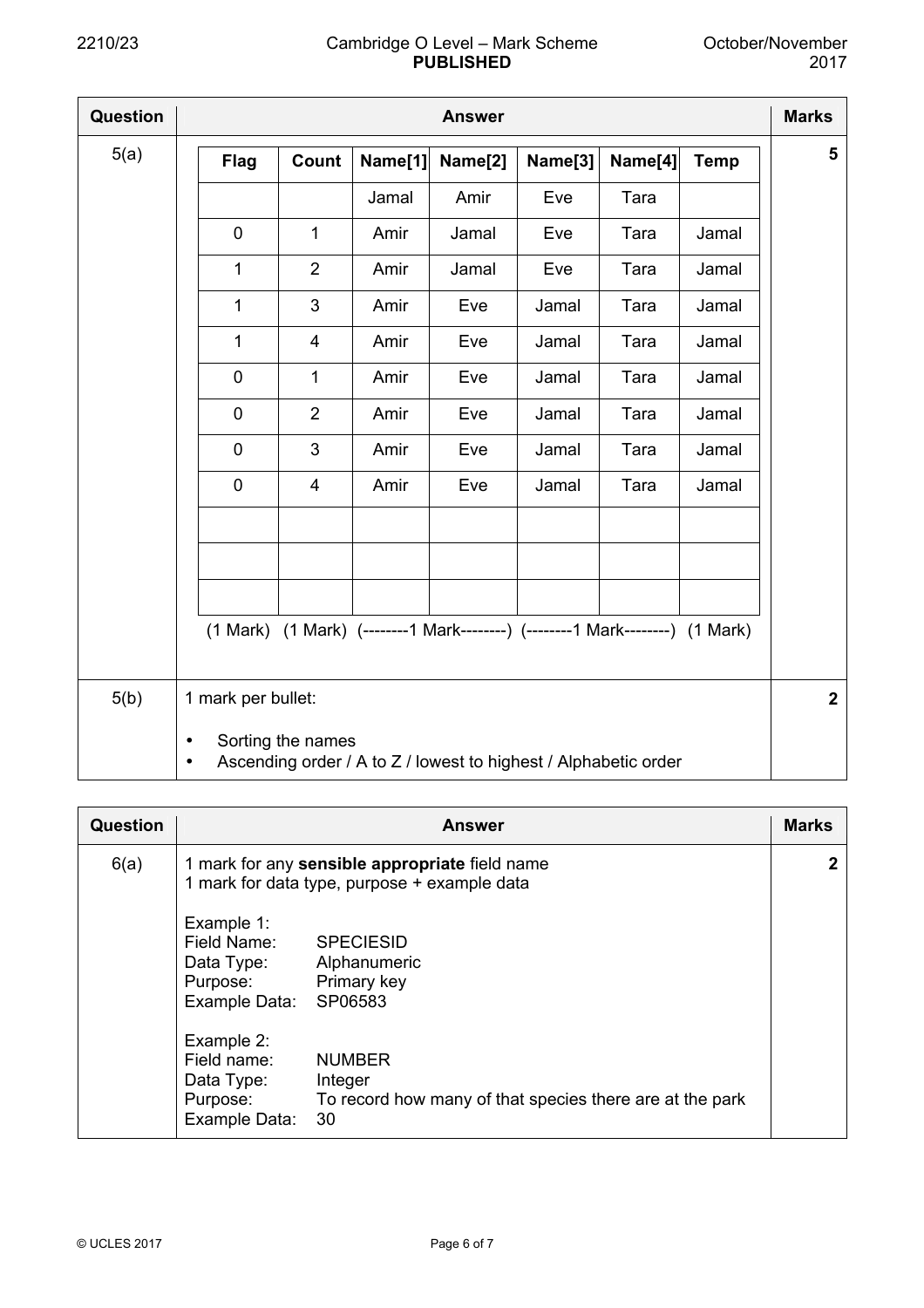| <b>Question</b> |                    |                         |         | <b>Answer</b>                                                                |         |         |             | <b>Marks</b>   |
|-----------------|--------------------|-------------------------|---------|------------------------------------------------------------------------------|---------|---------|-------------|----------------|
| 5(a)            | <b>Flag</b>        | Count                   | Name[1] | Name[2]                                                                      | Name[3] | Name[4] | <b>Temp</b> | 5              |
|                 |                    |                         | Jamal   | Amir                                                                         | Eve     | Tara    |             |                |
|                 | $\mathbf 0$        | $\mathbf{1}$            | Amir    | Jamal                                                                        | Eve     | Tara    | Jamal       |                |
|                 | 1                  | $\overline{2}$          | Amir    | Jamal                                                                        | Eve     | Tara    | Jamal       |                |
|                 | 1                  | 3                       | Amir    | Eve                                                                          | Jamal   | Tara    | Jamal       |                |
|                 | 1                  | 4                       | Amir    | Eve                                                                          | Jamal   | Tara    | Jamal       |                |
|                 | $\pmb{0}$          | $\mathbf 1$             | Amir    | Eve                                                                          | Jamal   | Tara    | Jamal       |                |
|                 | $\pmb{0}$          | $\overline{2}$          | Amir    | Eve                                                                          | Jamal   | Tara    | Jamal       |                |
|                 | $\mathbf 0$        | 3                       | Amir    | Eve                                                                          | Jamal   | Tara    | Jamal       |                |
|                 | $\mathbf 0$        | $\overline{\mathbf{4}}$ | Amir    | Eve                                                                          | Jamal   | Tara    | Jamal       |                |
|                 |                    |                         |         |                                                                              |         |         |             |                |
|                 |                    |                         |         |                                                                              |         |         |             |                |
|                 |                    |                         |         |                                                                              |         |         |             |                |
|                 |                    |                         |         | (1 Mark) (1 Mark) (--------1 Mark--------) (--------1 Mark--------) (1 Mark) |         |         |             |                |
|                 |                    |                         |         |                                                                              |         |         |             |                |
| 5(b)            | 1 mark per bullet: |                         |         |                                                                              |         |         |             | $\overline{2}$ |
|                 | $\bullet$<br>٠     | Sorting the names       |         | Ascending order / A to Z / lowest to highest / Alphabetic order              |         |         |             |                |

| Question | <b>Answer</b>                                                                                                                                                      |  |  |  |  |  |
|----------|--------------------------------------------------------------------------------------------------------------------------------------------------------------------|--|--|--|--|--|
| 6(a)     | 1 mark for any sensible appropriate field name<br>1 mark for data type, purpose + example data                                                                     |  |  |  |  |  |
|          | Example 1:<br>Field Name:<br><b>SPECIESID</b><br>Data Type:<br>Alphanumeric<br>Primary key<br>Purpose:<br>SP06583<br>Example Data:                                 |  |  |  |  |  |
|          | Example 2:<br>Field name:<br><b>NUMBER</b><br>Data Type:<br>Integer<br>To record how many of that species there are at the park<br>Purpose:<br>Example Data:<br>30 |  |  |  |  |  |